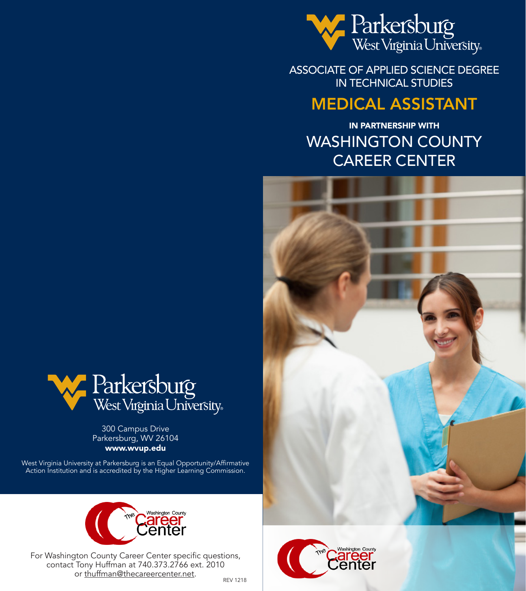

ASSOCIATE OF APPLIED SCIENCE DEGREE IN TECHNICAL STUDIES

## MEDICAL ASSISTANT

IN PARTNERSHIP WITH WASHINGTON COUNTY CAREER CENTER





300 Campus Drive

**West Virginia University** 



For Washington County Career Center specific questions, contact Tony Huffman at 740.373.2766 ext. 2010 or thuffman@thecareercenter.net.